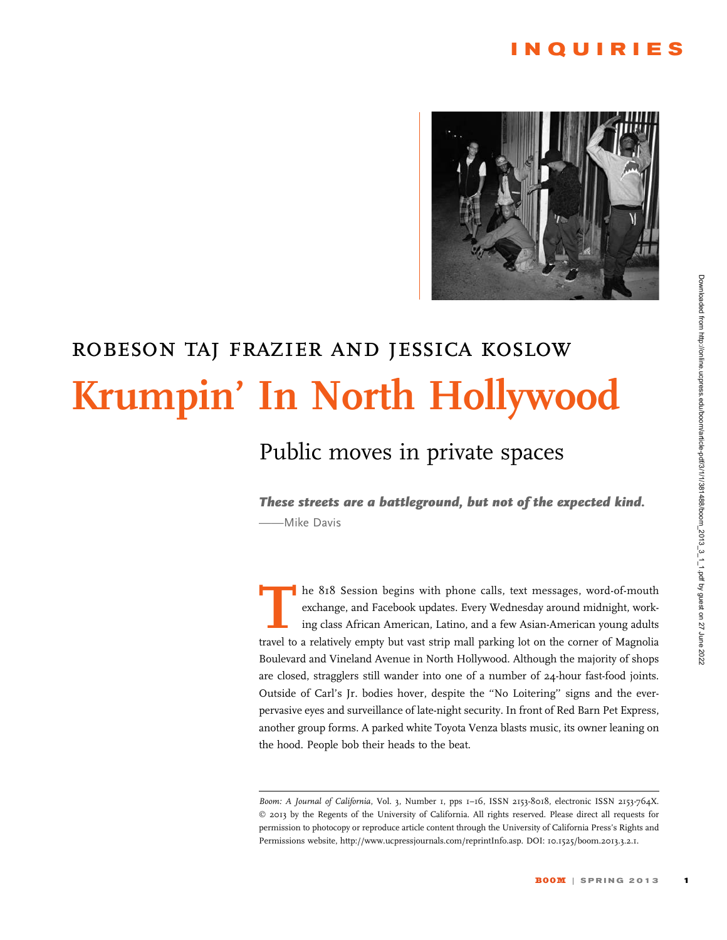### INQUIRIES



# robeson taj frazier and jessica koslow Krumpin' In North Hollywood

### Public moves in private spaces

These streets are a battleground, but not of the expected kind. -Mike Davis

The 818 Session begins with phone calls, text messages, word-of-mouth<br>exchange, and Facebook updates. Every Wednesday around midnight, work-<br>ing class African American, Latino, and a few Asian-American young adults<br>travel exchange, and Facebook updates. Every Wednesday around midnight, working class African American, Latino, and a few Asian-American young adults travel to a relatively empty but vast strip mall parking lot on the corner of Magnolia Boulevard and Vineland Avenue in North Hollywood. Although the majority of shops are closed, stragglers still wander into one of a number of 24-hour fast-food joints. Outside of Carl's Jr. bodies hover, despite the ''No Loitering'' signs and the everpervasive eyes and surveillance of late-night security. In front of Red Barn Pet Express, another group forms. A parked white Toyota Venza blasts music, its owner leaning on the hood. People bob their heads to the beat.

Boom: A Journal of California, Vol. 3, Number 1, pps 1-16, ISSN 2153-8018, electronic ISSN 2153-764X. © 2013 by the Regents of the University of California. All rights reserved. Please direct all requests for permission to photocopy or reproduce article content through the University of California Press's Rights and Permissions website, http://www.ucpressjournals.com/reprintInfo.asp. DOI: 10.1525/boom.2013.3.2.1.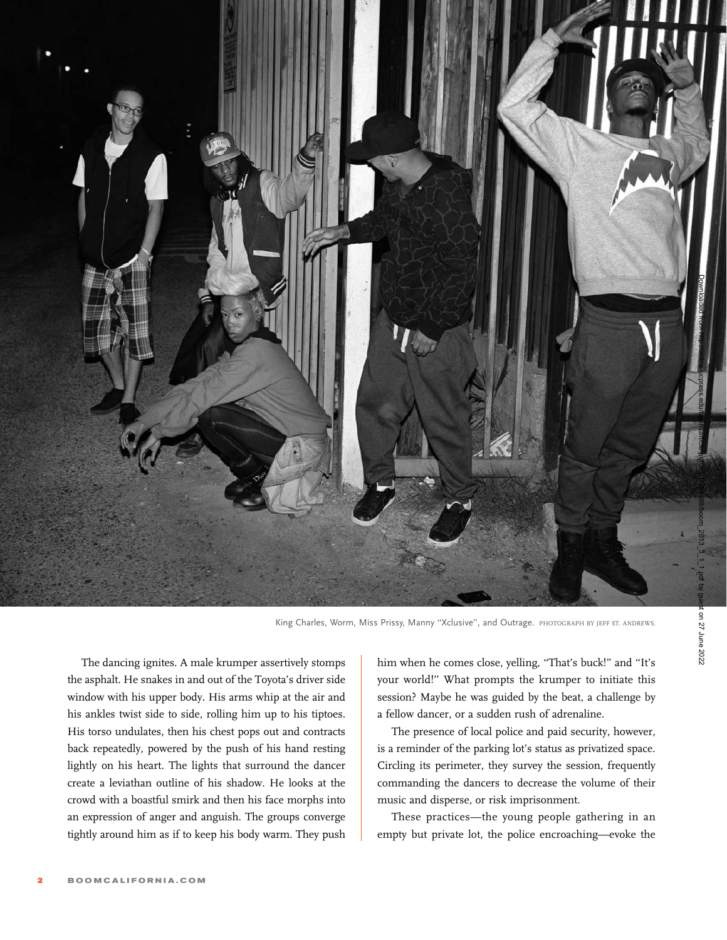

King Charles, Worm, Miss Prissy, Manny "Xclusive", and Outrage. PHOTOGRAPH BY JEFF ST. ANDREWS.

The dancing ignites. A male krumper assertively stomps the asphalt. He snakes in and out of the Toyota's driver side window with his upper body. His arms whip at the air and his ankles twist side to side, rolling him up to his tiptoes. His torso undulates, then his chest pops out and contracts back repeatedly, powered by the push of his hand resting lightly on his heart. The lights that surround the dancer create a leviathan outline of his shadow. He looks at the crowd with a boastful smirk and then his face morphs into an expression of anger and anguish. The groups converge tightly around him as if to keep his body warm. They push

him when he comes close, yelling, ''That's buck!'' and ''It's your world!'' What prompts the krumper to initiate this session? Maybe he was guided by the beat, a challenge by a fellow dancer, or a sudden rush of adrenaline.

The presence of local police and paid security, however, is a reminder of the parking lot's status as privatized space. Circling its perimeter, they survey the session, frequently commanding the dancers to decrease the volume of their music and disperse, or risk imprisonment.

These practices—the young people gathering in an empty but private lot, the police encroaching—evoke the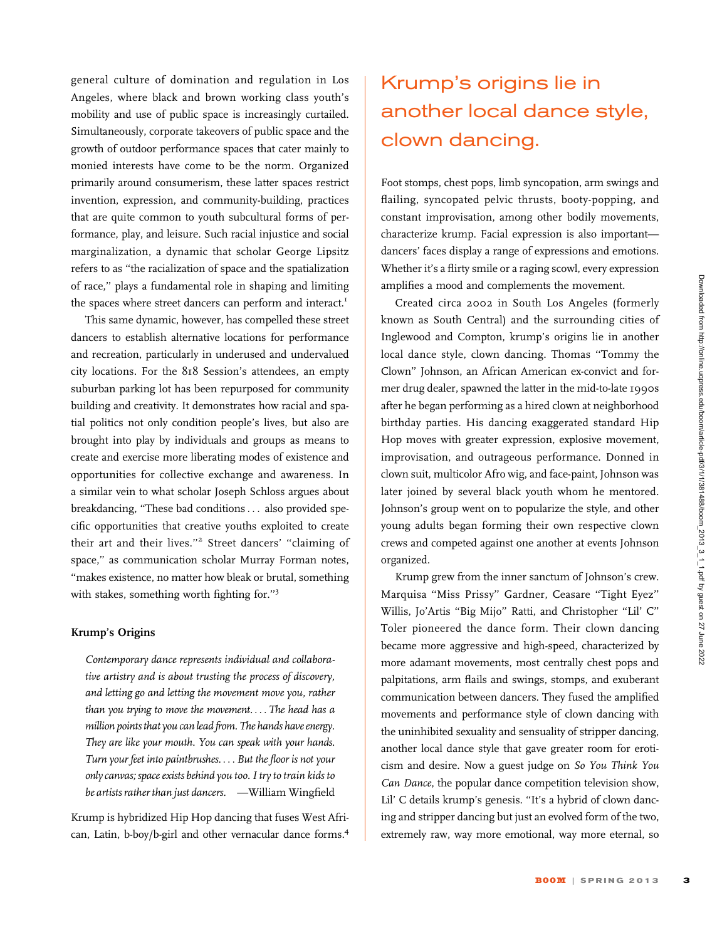general culture of domination and regulation in Los Angeles, where black and brown working class youth's mobility and use of public space is increasingly curtailed. Simultaneously, corporate takeovers of public space and the growth of outdoor performance spaces that cater mainly to monied interests have come to be the norm. Organized primarily around consumerism, these latter spaces restrict invention, expression, and community-building, practices that are quite common to youth subcultural forms of performance, play, and leisure. Such racial injustice and social marginalization, a dynamic that scholar George Lipsitz refers to as ''the racialization of space and the spatialization of race,'' plays a fundamental role in shaping and limiting the spaces where street dancers can perform and interact.<sup>1</sup>

This same dynamic, however, has compelled these street dancers to establish alternative locations for performance and recreation, particularly in underused and undervalued city locations. For the 818 Session's attendees, an empty suburban parking lot has been repurposed for community building and creativity. It demonstrates how racial and spatial politics not only condition people's lives, but also are brought into play by individuals and groups as means to create and exercise more liberating modes of existence and opportunities for collective exchange and awareness. In a similar vein to what scholar Joseph Schloss argues about breakdancing, ''These bad conditions ... also provided specific opportunities that creative youths exploited to create their art and their lives."<sup>2</sup> Street dancers' "claiming of space,'' as communication scholar Murray Forman notes, ''makes existence, no matter how bleak or brutal, something with stakes, something worth fighting for.''<sup>3</sup>

#### Krump's Origins

Contemporary dance represents individual and collaborative artistry and is about trusting the process of discovery, and letting go and letting the movement move you, rather than you trying to move the movement. ... The head has a million points that you can lead from. The hands have energy. They are like your mouth. You can speak with your hands. Turn your feet into paintbrushes. ... But the floor is not your only canvas; space exists behind you too. I try to train kids to be artists rather than just dancers. —William Wingfield

Krump is hybridized Hip Hop dancing that fuses West African, Latin, b-boy/b-girl and other vernacular dance forms.4

### Krump's origins lie in another local dance style, clown dancing.

Foot stomps, chest pops, limb syncopation, arm swings and flailing, syncopated pelvic thrusts, booty-popping, and constant improvisation, among other bodily movements, characterize krump. Facial expression is also important dancers' faces display a range of expressions and emotions. Whether it's a flirty smile or a raging scowl, every expression amplifies a mood and complements the movement.

Created circa 2002 in South Los Angeles (formerly known as South Central) and the surrounding cities of Inglewood and Compton, krump's origins lie in another local dance style, clown dancing. Thomas ''Tommy the Clown'' Johnson, an African American ex-convict and former drug dealer, spawned the latter in the mid-to-late 1990s after he began performing as a hired clown at neighborhood birthday parties. His dancing exaggerated standard Hip Hop moves with greater expression, explosive movement, improvisation, and outrageous performance. Donned in clown suit, multicolor Afro wig, and face-paint, Johnson was later joined by several black youth whom he mentored. Johnson's group went on to popularize the style, and other young adults began forming their own respective clown crews and competed against one another at events Johnson organized.

Krump grew from the inner sanctum of Johnson's crew. Marquisa ''Miss Prissy'' Gardner, Ceasare ''Tight Eyez'' Willis, Jo'Artis ''Big Mijo'' Ratti, and Christopher ''Lil' C'' Toler pioneered the dance form. Their clown dancing became more aggressive and high-speed, characterized by more adamant movements, most centrally chest pops and palpitations, arm flails and swings, stomps, and exuberant communication between dancers. They fused the amplified movements and performance style of clown dancing with the uninhibited sexuality and sensuality of stripper dancing, another local dance style that gave greater room for eroticism and desire. Now a guest judge on So You Think You Can Dance, the popular dance competition television show, Lil' C details krump's genesis. ''It's a hybrid of clown dancing and stripper dancing but just an evolved form of the two, extremely raw, way more emotional, way more eternal, so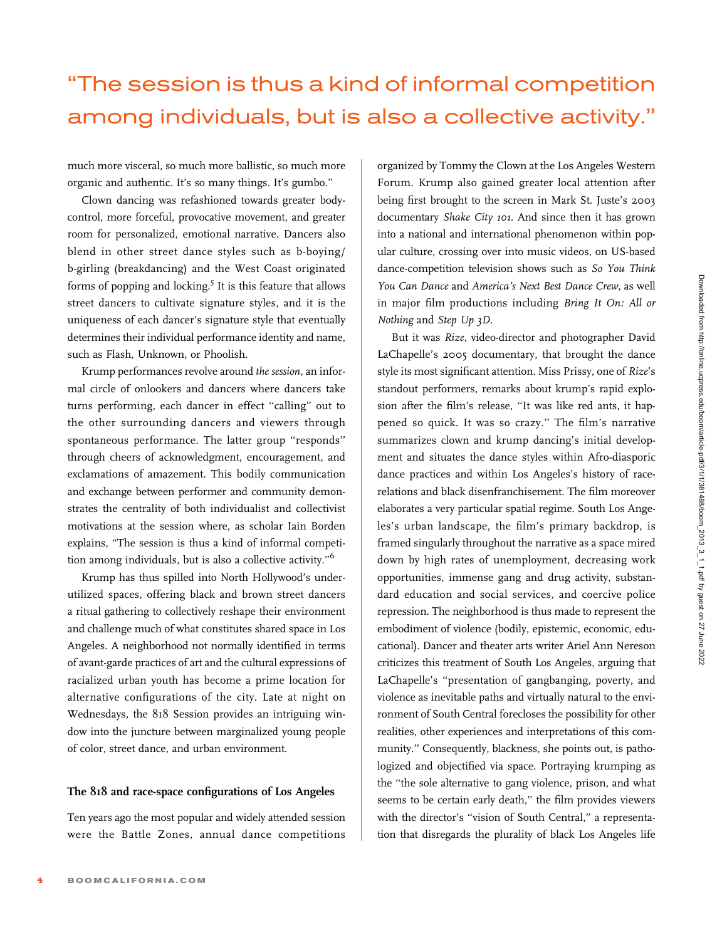## ''The session is thus a kind of informal competition among individuals, but is also a collective activity.''

much more visceral, so much more ballistic, so much more organic and authentic. It's so many things. It's gumbo.''

Clown dancing was refashioned towards greater bodycontrol, more forceful, provocative movement, and greater room for personalized, emotional narrative. Dancers also blend in other street dance styles such as b-boying/ b-girling (breakdancing) and the West Coast originated forms of popping and locking.<sup>5</sup> It is this feature that allows street dancers to cultivate signature styles, and it is the uniqueness of each dancer's signature style that eventually determines their individual performance identity and name, such as Flash, Unknown, or Phoolish.

Krump performances revolve around the session, an informal circle of onlookers and dancers where dancers take turns performing, each dancer in effect ''calling'' out to the other surrounding dancers and viewers through spontaneous performance. The latter group ''responds'' through cheers of acknowledgment, encouragement, and exclamations of amazement. This bodily communication and exchange between performer and community demonstrates the centrality of both individualist and collectivist motivations at the session where, as scholar Iain Borden explains, ''The session is thus a kind of informal competition among individuals, but is also a collective activity."<sup>6</sup>

Krump has thus spilled into North Hollywood's underutilized spaces, offering black and brown street dancers a ritual gathering to collectively reshape their environment and challenge much of what constitutes shared space in Los Angeles. A neighborhood not normally identified in terms of avant-garde practices of art and the cultural expressions of racialized urban youth has become a prime location for alternative configurations of the city. Late at night on Wednesdays, the 818 Session provides an intriguing window into the juncture between marginalized young people of color, street dance, and urban environment.

### The 818 and race-space configurations of Los Angeles

Ten years ago the most popular and widely attended session were the Battle Zones, annual dance competitions

organized by Tommy the Clown at the Los Angeles Western Forum. Krump also gained greater local attention after being first brought to the screen in Mark St. Juste's 2003 documentary Shake City 101. And since then it has grown into a national and international phenomenon within popular culture, crossing over into music videos, on US-based dance-competition television shows such as So You Think You Can Dance and America's Next Best Dance Crew, as well in major film productions including Bring It On: All or Nothing and Step Up 3D.

But it was Rize, video-director and photographer David LaChapelle's 2005 documentary, that brought the dance style its most significant attention. Miss Prissy, one of Rize's standout performers, remarks about krump's rapid explosion after the film's release, ''It was like red ants, it happened so quick. It was so crazy.'' The film's narrative summarizes clown and krump dancing's initial development and situates the dance styles within Afro-diasporic dance practices and within Los Angeles's history of racerelations and black disenfranchisement. The film moreover elaborates a very particular spatial regime. South Los Angeles's urban landscape, the film's primary backdrop, is framed singularly throughout the narrative as a space mired down by high rates of unemployment, decreasing work opportunities, immense gang and drug activity, substandard education and social services, and coercive police repression. The neighborhood is thus made to represent the embodiment of violence (bodily, epistemic, economic, educational). Dancer and theater arts writer Ariel Ann Nereson criticizes this treatment of South Los Angeles, arguing that LaChapelle's ''presentation of gangbanging, poverty, and violence as inevitable paths and virtually natural to the environment of South Central forecloses the possibility for other realities, other experiences and interpretations of this community.'' Consequently, blackness, she points out, is pathologized and objectified via space. Portraying krumping as the ''the sole alternative to gang violence, prison, and what seems to be certain early death,'' the film provides viewers with the director's "vision of South Central," a representation that disregards the plurality of black Los Angeles life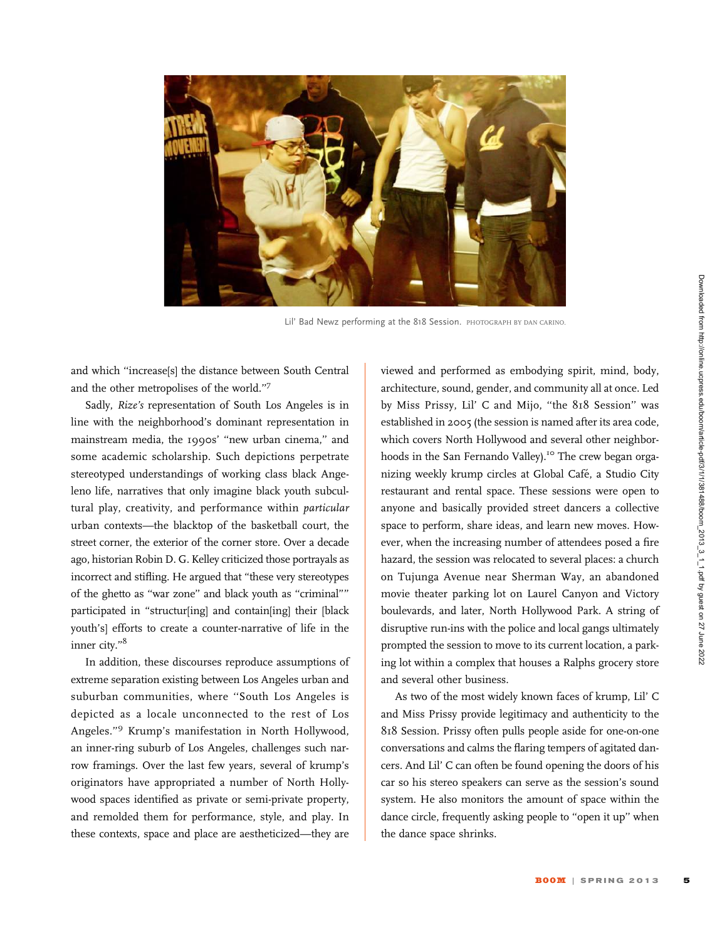

Lil' Bad Newz performing at the 818 Session. PHOTOGRAPH BY DAN CARINO.

and which ''increase[s] the distance between South Central and the other metropolises of the world.''7

Sadly, Rize's representation of South Los Angeles is in line with the neighborhood's dominant representation in mainstream media, the 1990s' ''new urban cinema,'' and some academic scholarship. Such depictions perpetrate stereotyped understandings of working class black Angeleno life, narratives that only imagine black youth subcultural play, creativity, and performance within particular urban contexts—the blacktop of the basketball court, the street corner, the exterior of the corner store. Over a decade ago, historian Robin D. G. Kelley criticized those portrayals as incorrect and stifling. He argued that ''these very stereotypes of the ghetto as ''war zone'' and black youth as ''criminal'''' participated in "structur[ing] and contain[ing] their [black youth's] efforts to create a counter-narrative of life in the inner city.''8

In addition, these discourses reproduce assumptions of extreme separation existing between Los Angeles urban and suburban communities, where ''South Los Angeles is depicted as a locale unconnected to the rest of Los Angeles.''<sup>9</sup> Krump's manifestation in North Hollywood, an inner-ring suburb of Los Angeles, challenges such narrow framings. Over the last few years, several of krump's originators have appropriated a number of North Hollywood spaces identified as private or semi-private property, and remolded them for performance, style, and play. In these contexts, space and place are aestheticized—they are

viewed and performed as embodying spirit, mind, body, architecture, sound, gender, and community all at once. Led by Miss Prissy, Lil' C and Mijo, ''the 818 Session'' was established in 2005 (the session is named after its area code, which covers North Hollywood and several other neighborhoods in the San Fernando Valley).<sup>10</sup> The crew began organizing weekly krump circles at Global Cafe, a Studio City ´ restaurant and rental space. These sessions were open to anyone and basically provided street dancers a collective space to perform, share ideas, and learn new moves. However, when the increasing number of attendees posed a fire hazard, the session was relocated to several places: a church on Tujunga Avenue near Sherman Way, an abandoned movie theater parking lot on Laurel Canyon and Victory boulevards, and later, North Hollywood Park. A string of disruptive run-ins with the police and local gangs ultimately prompted the session to move to its current location, a parking lot within a complex that houses a Ralphs grocery store and several other business.

As two of the most widely known faces of krump, Lil' C and Miss Prissy provide legitimacy and authenticity to the 818 Session. Prissy often pulls people aside for one-on-one conversations and calms the flaring tempers of agitated dancers. And Lil' C can often be found opening the doors of his car so his stereo speakers can serve as the session's sound system. He also monitors the amount of space within the dance circle, frequently asking people to "open it up" when the dance space shrinks.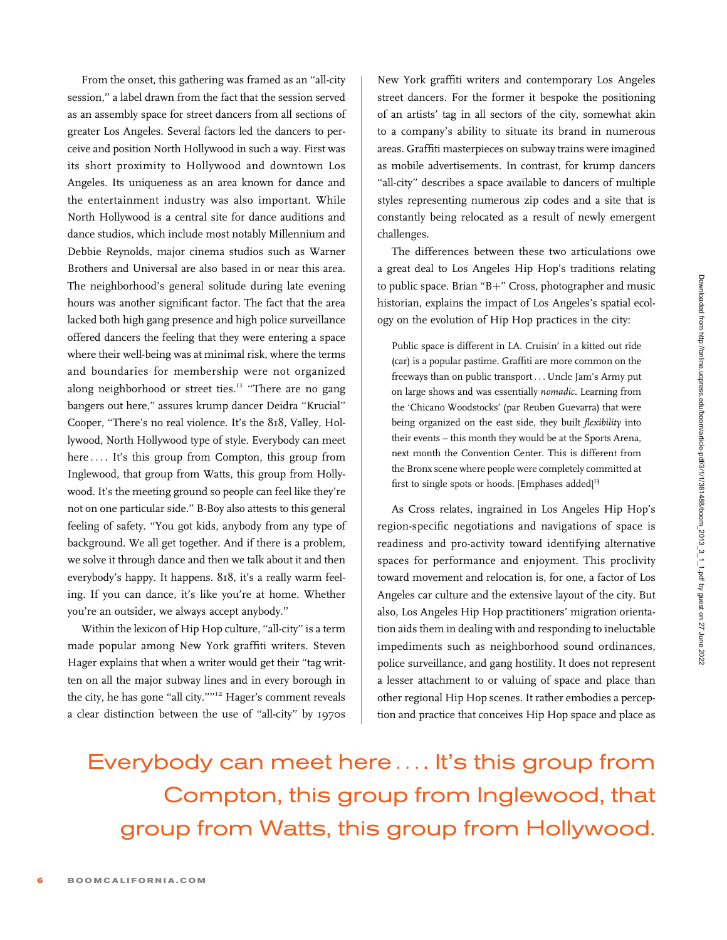From the onset, this gathering was framed as an ''all-city session,'' a label drawn from the fact that the session served as an assembly space for street dancers from all sections of greater Los Angeles. Several factors led the dancers to perceive and position North Hollywood in such a way. First was its short proximity to Hollywood and downtown Los Angeles. Its uniqueness as an area known for dance and the entertainment industry was also important. While North Hollywood is a central site for dance auditions and dance studios, which include most notably Millennium and Debbie Reynolds, major cinema studios such as Warner Brothers and Universal are also based in or near this area. The neighborhood's general solitude during late evening hours was another significant factor. The fact that the area lacked both high gang presence and high police surveillance offered dancers the feeling that they were entering a space where their well-being was at minimal risk, where the terms and boundaries for membership were not organized along neighborhood or street ties.<sup>11</sup> "There are no gang bangers out here,'' assures krump dancer Deidra ''Krucial'' Cooper, ''There's no real violence. It's the 818, Valley, Hollywood, North Hollywood type of style. Everybody can meet here .... It's this group from Compton, this group from Inglewood, that group from Watts, this group from Hollywood. It's the meeting ground so people can feel like they're not on one particular side.'' B-Boy also attests to this general feeling of safety. ''You got kids, anybody from any type of background. We all get together. And if there is a problem, we solve it through dance and then we talk about it and then everybody's happy. It happens. 818, it's a really warm feeling. If you can dance, it's like you're at home. Whether you're an outsider, we always accept anybody.''

Within the lexicon of Hip Hop culture, "all-city" is a term made popular among New York graffiti writers. Steven Hager explains that when a writer would get their ''tag written on all the major subway lines and in every borough in the city, he has gone "all city.""<sup>12</sup> Hager's comment reveals a clear distinction between the use of ''all-city'' by 1970s

New York graffiti writers and contemporary Los Angeles street dancers. For the former it bespoke the positioning of an artists' tag in all sectors of the city, somewhat akin to a company's ability to situate its brand in numerous areas. Graffiti masterpieces on subway trains were imagined as mobile advertisements. In contrast, for krump dancers "all-city" describes a space available to dancers of multiple styles representing numerous zip codes and a site that is constantly being relocated as a result of newly emergent challenges.

The differences between these two articulations owe a great deal to Los Angeles Hip Hop's traditions relating to public space. Brian " $B+$ " Cross, photographer and music historian, explains the impact of Los Angeles's spatial ecology on the evolution of Hip Hop practices in the city:

Public space is different in LA. Cruisin' in a kitted out ride (car) is a popular pastime. Graffiti are more common on the freeways than on public transport ... Uncle Jam's Army put on large shows and was essentially nomadic. Learning from the 'Chicano Woodstocks' (par Reuben Guevarra) that were being organized on the east side, they built flexibility into their events – this month they would be at the Sports Arena, next month the Convention Center. This is different from the Bronx scene where people were completely committed at first to single spots or hoods. [Emphases added] $13$ 

As Cross relates, ingrained in Los Angeles Hip Hop's region-specific negotiations and navigations of space is readiness and pro-activity toward identifying alternative spaces for performance and enjoyment. This proclivity toward movement and relocation is, for one, a factor of Los Angeles car culture and the extensive layout of the city. But also, Los Angeles Hip Hop practitioners' migration orientation aids them in dealing with and responding to ineluctable impediments such as neighborhood sound ordinances, police surveillance, and gang hostility. It does not represent a lesser attachment to or valuing of space and place than other regional Hip Hop scenes. It rather embodies a perception and practice that conceives Hip Hop space and place as

Everybody can meet here.... It's this group from Compton, this group from Inglewood, that group from Watts, this group from Hollywood.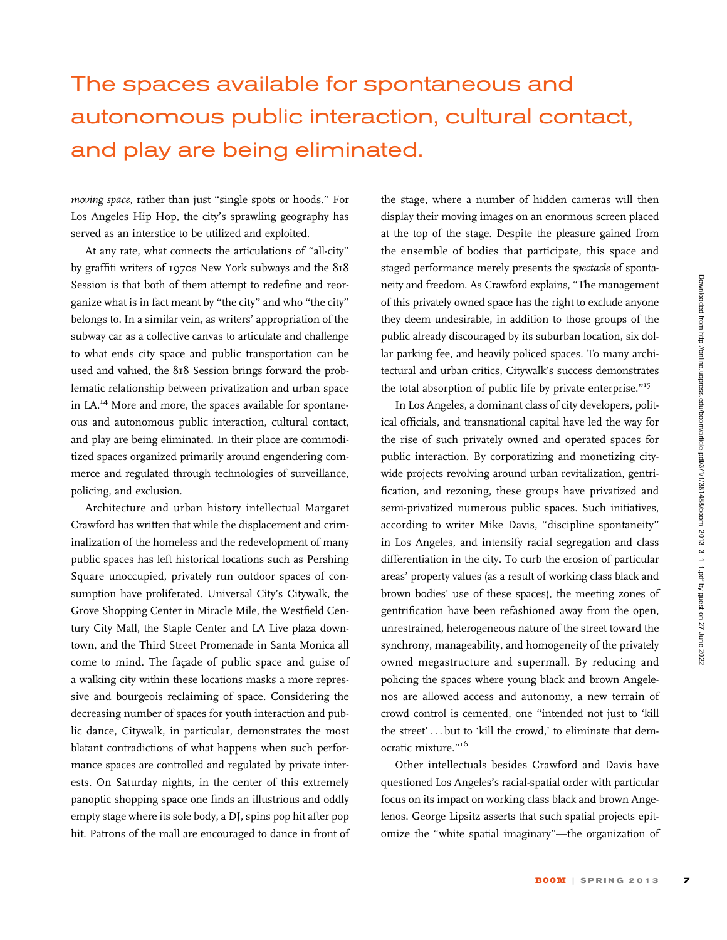## The spaces available for spontaneous and autonomous public interaction, cultural contact, and play are being eliminated.

moving space, rather than just ''single spots or hoods.'' For Los Angeles Hip Hop, the city's sprawling geography has served as an interstice to be utilized and exploited.

At any rate, what connects the articulations of ''all-city'' by graffiti writers of 1970s New York subways and the 818 Session is that both of them attempt to redefine and reorganize what is in fact meant by ''the city'' and who ''the city'' belongs to. In a similar vein, as writers' appropriation of the subway car as a collective canvas to articulate and challenge to what ends city space and public transportation can be used and valued, the 818 Session brings forward the problematic relationship between privatization and urban space in LA.<sup>14</sup> More and more, the spaces available for spontaneous and autonomous public interaction, cultural contact, and play are being eliminated. In their place are commoditized spaces organized primarily around engendering commerce and regulated through technologies of surveillance, policing, and exclusion.

Architecture and urban history intellectual Margaret Crawford has written that while the displacement and criminalization of the homeless and the redevelopment of many public spaces has left historical locations such as Pershing Square unoccupied, privately run outdoor spaces of consumption have proliferated. Universal City's Citywalk, the Grove Shopping Center in Miracle Mile, the Westfield Century City Mall, the Staple Center and LA Live plaza downtown, and the Third Street Promenade in Santa Monica all come to mind. The façade of public space and guise of a walking city within these locations masks a more repressive and bourgeois reclaiming of space. Considering the decreasing number of spaces for youth interaction and public dance, Citywalk, in particular, demonstrates the most blatant contradictions of what happens when such performance spaces are controlled and regulated by private interests. On Saturday nights, in the center of this extremely panoptic shopping space one finds an illustrious and oddly empty stage where its sole body, a DJ, spins pop hit after pop hit. Patrons of the mall are encouraged to dance in front of the stage, where a number of hidden cameras will then display their moving images on an enormous screen placed at the top of the stage. Despite the pleasure gained from the ensemble of bodies that participate, this space and staged performance merely presents the spectacle of spontaneity and freedom. As Crawford explains, ''The management of this privately owned space has the right to exclude anyone they deem undesirable, in addition to those groups of the public already discouraged by its suburban location, six dollar parking fee, and heavily policed spaces. To many architectural and urban critics, Citywalk's success demonstrates the total absorption of public life by private enterprise.''<sup>15</sup>

In Los Angeles, a dominant class of city developers, political officials, and transnational capital have led the way for the rise of such privately owned and operated spaces for public interaction. By corporatizing and monetizing citywide projects revolving around urban revitalization, gentrification, and rezoning, these groups have privatized and semi-privatized numerous public spaces. Such initiatives, according to writer Mike Davis, ''discipline spontaneity'' in Los Angeles, and intensify racial segregation and class differentiation in the city. To curb the erosion of particular areas' property values (as a result of working class black and brown bodies' use of these spaces), the meeting zones of gentrification have been refashioned away from the open, unrestrained, heterogeneous nature of the street toward the synchrony, manageability, and homogeneity of the privately owned megastructure and supermall. By reducing and policing the spaces where young black and brown Angelenos are allowed access and autonomy, a new terrain of crowd control is cemented, one ''intended not just to 'kill the street' ... but to 'kill the crowd,' to eliminate that democratic mixture."<sup>16</sup>

Other intellectuals besides Crawford and Davis have questioned Los Angeles's racial-spatial order with particular focus on its impact on working class black and brown Angelenos. George Lipsitz asserts that such spatial projects epitomize the ''white spatial imaginary''—the organization of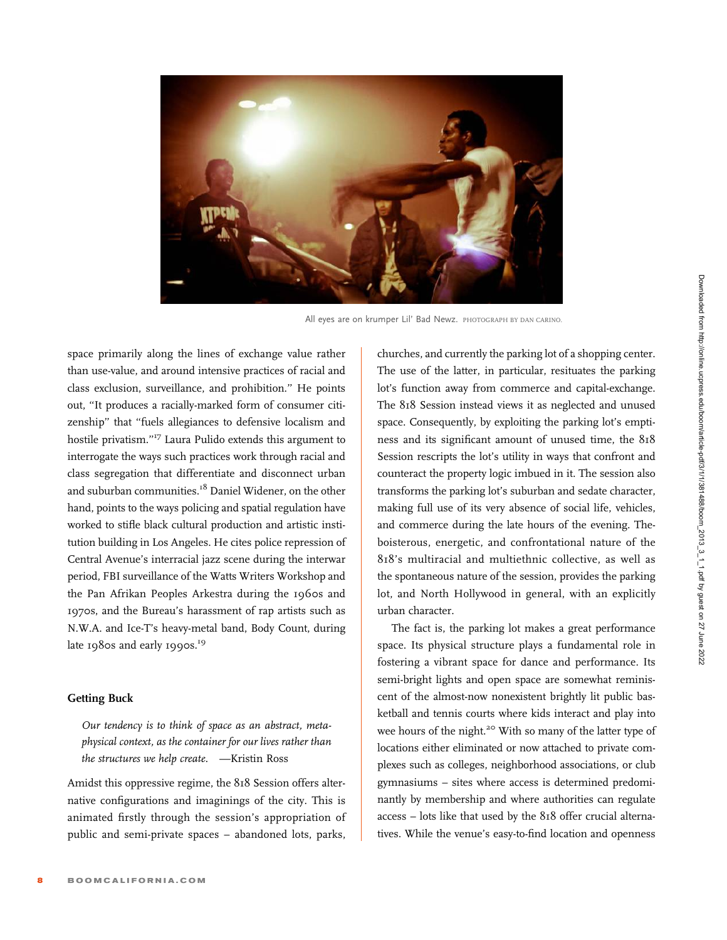

All eyes are on krumper Lil' Bad Newz. PHOTOGRAPH BY DAN CARINO.

space primarily along the lines of exchange value rather than use-value, and around intensive practices of racial and class exclusion, surveillance, and prohibition.'' He points out, ''It produces a racially-marked form of consumer citizenship'' that ''fuels allegiances to defensive localism and hostile privatism."<sup>17</sup> Laura Pulido extends this argument to interrogate the ways such practices work through racial and class segregation that differentiate and disconnect urban and suburban communities.<sup>18</sup> Daniel Widener, on the other hand, points to the ways policing and spatial regulation have worked to stifle black cultural production and artistic institution building in Los Angeles. He cites police repression of Central Avenue's interracial jazz scene during the interwar period, FBI surveillance of the Watts Writers Workshop and the Pan Afrikan Peoples Arkestra during the 1960s and 1970s, and the Bureau's harassment of rap artists such as N.W.A. and Ice-T's heavy-metal band, Body Count, during late 1980s and early 1990s.<sup>19</sup>

### Getting Buck

Our tendency is to think of space as an abstract, metaphysical context, as the container for our lives rather than the structures we help create. —Kristin Ross

Amidst this oppressive regime, the 818 Session offers alternative configurations and imaginings of the city. This is animated firstly through the session's appropriation of public and semi-private spaces – abandoned lots, parks,

churches, and currently the parking lot of a shopping center. The use of the latter, in particular, resituates the parking lot's function away from commerce and capital-exchange. The 818 Session instead views it as neglected and unused space. Consequently, by exploiting the parking lot's emptiness and its significant amount of unused time, the 818 Session rescripts the lot's utility in ways that confront and counteract the property logic imbued in it. The session also transforms the parking lot's suburban and sedate character, making full use of its very absence of social life, vehicles, and commerce during the late hours of the evening. Theboisterous, energetic, and confrontational nature of the 818's multiracial and multiethnic collective, as well as the spontaneous nature of the session, provides the parking lot, and North Hollywood in general, with an explicitly urban character.

The fact is, the parking lot makes a great performance space. Its physical structure plays a fundamental role in fostering a vibrant space for dance and performance. Its semi-bright lights and open space are somewhat reminiscent of the almost-now nonexistent brightly lit public basketball and tennis courts where kids interact and play into wee hours of the night.<sup>20</sup> With so many of the latter type of locations either eliminated or now attached to private complexes such as colleges, neighborhood associations, or club gymnasiums – sites where access is determined predominantly by membership and where authorities can regulate access – lots like that used by the 818 offer crucial alternatives. While the venue's easy-to-find location and openness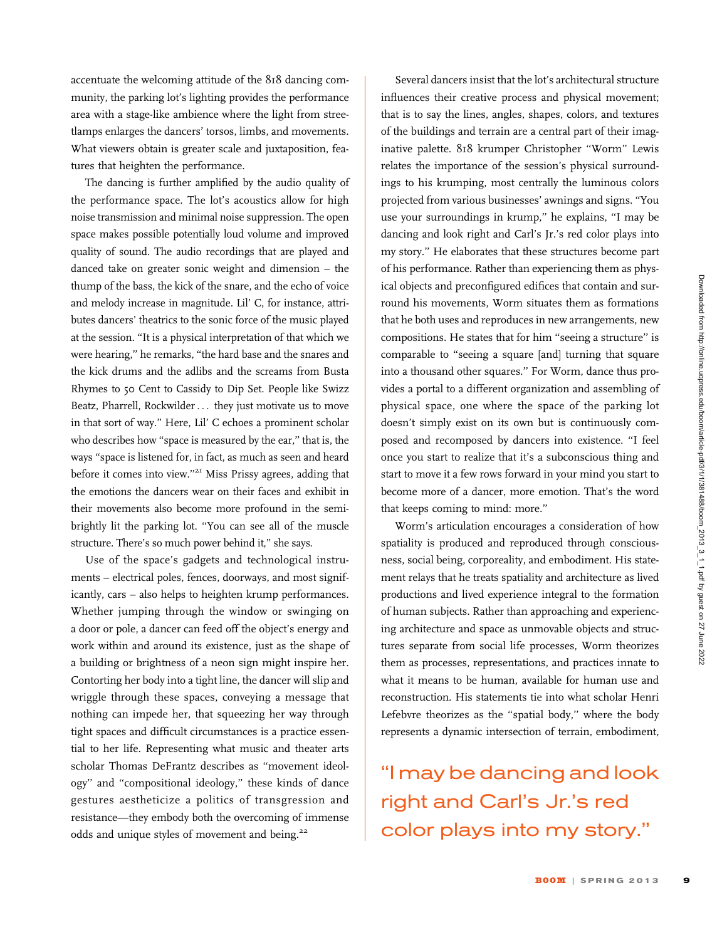accentuate the welcoming attitude of the 818 dancing community, the parking lot's lighting provides the performance area with a stage-like ambience where the light from streetlamps enlarges the dancers' torsos, limbs, and movements. What viewers obtain is greater scale and juxtaposition, features that heighten the performance.

The dancing is further amplified by the audio quality of the performance space. The lot's acoustics allow for high noise transmission and minimal noise suppression. The open space makes possible potentially loud volume and improved quality of sound. The audio recordings that are played and danced take on greater sonic weight and dimension – the thump of the bass, the kick of the snare, and the echo of voice and melody increase in magnitude. Lil' C, for instance, attributes dancers' theatrics to the sonic force of the music played at the session. ''It is a physical interpretation of that which we were hearing,'' he remarks, ''the hard base and the snares and the kick drums and the adlibs and the screams from Busta Rhymes to 50 Cent to Cassidy to Dip Set. People like Swizz Beatz, Pharrell, Rockwilder... they just motivate us to move in that sort of way.'' Here, Lil' C echoes a prominent scholar who describes how ''space is measured by the ear,'' that is, the ways ''space is listened for, in fact, as much as seen and heard before it comes into view."<sup>21</sup> Miss Prissy agrees, adding that the emotions the dancers wear on their faces and exhibit in their movements also become more profound in the semibrightly lit the parking lot. ''You can see all of the muscle structure. There's so much power behind it,'' she says.

Use of the space's gadgets and technological instruments – electrical poles, fences, doorways, and most significantly, cars – also helps to heighten krump performances. Whether jumping through the window or swinging on a door or pole, a dancer can feed off the object's energy and work within and around its existence, just as the shape of a building or brightness of a neon sign might inspire her. Contorting her body into a tight line, the dancer will slip and wriggle through these spaces, conveying a message that nothing can impede her, that squeezing her way through tight spaces and difficult circumstances is a practice essential to her life. Representing what music and theater arts scholar Thomas DeFrantz describes as ''movement ideology'' and ''compositional ideology,'' these kinds of dance gestures aestheticize a politics of transgression and resistance—they embody both the overcoming of immense odds and unique styles of movement and being.<sup>22</sup>

Several dancers insist that the lot's architectural structure influences their creative process and physical movement; that is to say the lines, angles, shapes, colors, and textures of the buildings and terrain are a central part of their imaginative palette. 818 krumper Christopher ''Worm'' Lewis relates the importance of the session's physical surroundings to his krumping, most centrally the luminous colors projected from various businesses' awnings and signs. ''You use your surroundings in krump,'' he explains, ''I may be dancing and look right and Carl's Jr.'s red color plays into my story.'' He elaborates that these structures become part of his performance. Rather than experiencing them as physical objects and preconfigured edifices that contain and surround his movements, Worm situates them as formations that he both uses and reproduces in new arrangements, new compositions. He states that for him ''seeing a structure'' is comparable to ''seeing a square [and] turning that square into a thousand other squares.'' For Worm, dance thus provides a portal to a different organization and assembling of physical space, one where the space of the parking lot doesn't simply exist on its own but is continuously composed and recomposed by dancers into existence. ''I feel once you start to realize that it's a subconscious thing and start to move it a few rows forward in your mind you start to become more of a dancer, more emotion. That's the word that keeps coming to mind: more.''

Worm's articulation encourages a consideration of how spatiality is produced and reproduced through consciousness, social being, corporeality, and embodiment. His statement relays that he treats spatiality and architecture as lived productions and lived experience integral to the formation of human subjects. Rather than approaching and experiencing architecture and space as unmovable objects and structures separate from social life processes, Worm theorizes them as processes, representations, and practices innate to what it means to be human, available for human use and reconstruction. His statements tie into what scholar Henri Lefebvre theorizes as the ''spatial body,'' where the body represents a dynamic intersection of terrain, embodiment,

''I may be dancing and look right and Carl's Jr.'s red color plays into my story.''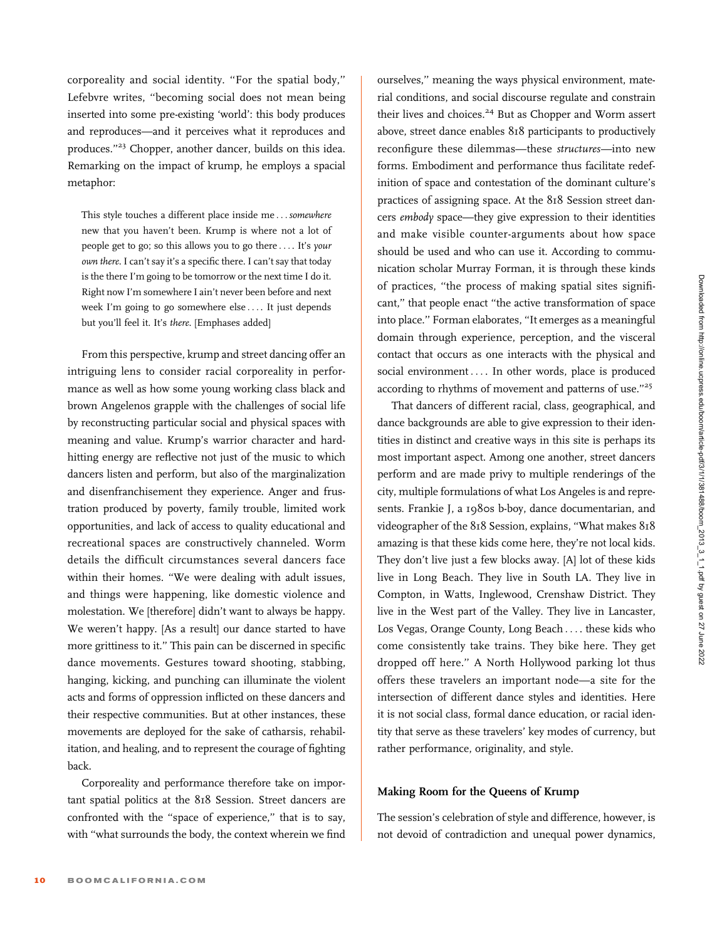corporeality and social identity. ''For the spatial body,'' Lefebvre writes, ''becoming social does not mean being inserted into some pre-existing 'world': this body produces and reproduces—and it perceives what it reproduces and produces."<sup>23</sup> Chopper, another dancer, builds on this idea. Remarking on the impact of krump, he employs a spacial metaphor:

This style touches a different place inside me ... somewhere new that you haven't been. Krump is where not a lot of people get to go; so this allows you to go there ... . It's your own there. I can't say it's a specific there. I can't say that today is the there I'm going to be tomorrow or the next time I do it. Right now I'm somewhere I ain't never been before and next week I'm going to go somewhere else ... . It just depends but you'll feel it. It's there. [Emphases added]

From this perspective, krump and street dancing offer an intriguing lens to consider racial corporeality in performance as well as how some young working class black and brown Angelenos grapple with the challenges of social life by reconstructing particular social and physical spaces with meaning and value. Krump's warrior character and hardhitting energy are reflective not just of the music to which dancers listen and perform, but also of the marginalization and disenfranchisement they experience. Anger and frustration produced by poverty, family trouble, limited work opportunities, and lack of access to quality educational and recreational spaces are constructively channeled. Worm details the difficult circumstances several dancers face within their homes. ''We were dealing with adult issues, and things were happening, like domestic violence and molestation. We [therefore] didn't want to always be happy. We weren't happy. [As a result] our dance started to have more grittiness to it.'' This pain can be discerned in specific dance movements. Gestures toward shooting, stabbing, hanging, kicking, and punching can illuminate the violent acts and forms of oppression inflicted on these dancers and their respective communities. But at other instances, these movements are deployed for the sake of catharsis, rehabilitation, and healing, and to represent the courage of fighting back.

Corporeality and performance therefore take on important spatial politics at the 818 Session. Street dancers are confronted with the ''space of experience,'' that is to say, with ''what surrounds the body, the context wherein we find ourselves,'' meaning the ways physical environment, material conditions, and social discourse regulate and constrain their lives and choices.<sup>24</sup> But as Chopper and Worm assert above, street dance enables 818 participants to productively reconfigure these dilemmas—these structures—into new forms. Embodiment and performance thus facilitate redefinition of space and contestation of the dominant culture's practices of assigning space. At the 818 Session street dancers embody space—they give expression to their identities and make visible counter-arguments about how space should be used and who can use it. According to communication scholar Murray Forman, it is through these kinds of practices, ''the process of making spatial sites significant," that people enact "the active transformation of space into place.'' Forman elaborates, ''It emerges as a meaningful domain through experience, perception, and the visceral contact that occurs as one interacts with the physical and social environment ... . In other words, place is produced according to rhythms of movement and patterns of use.''<sup>25</sup>

That dancers of different racial, class, geographical, and dance backgrounds are able to give expression to their identities in distinct and creative ways in this site is perhaps its most important aspect. Among one another, street dancers perform and are made privy to multiple renderings of the city, multiple formulations of what Los Angeles is and represents. Frankie J, a 1980s b-boy, dance documentarian, and videographer of the 818 Session, explains, ''What makes 818 amazing is that these kids come here, they're not local kids. They don't live just a few blocks away. [A] lot of these kids live in Long Beach. They live in South LA. They live in Compton, in Watts, Inglewood, Crenshaw District. They live in the West part of the Valley. They live in Lancaster, Los Vegas, Orange County, Long Beach ... . these kids who come consistently take trains. They bike here. They get dropped off here.'' A North Hollywood parking lot thus offers these travelers an important node—a site for the intersection of different dance styles and identities. Here it is not social class, formal dance education, or racial identity that serve as these travelers' key modes of currency, but rather performance, originality, and style.

#### Making Room for the Queens of Krump

The session's celebration of style and difference, however, is not devoid of contradiction and unequal power dynamics,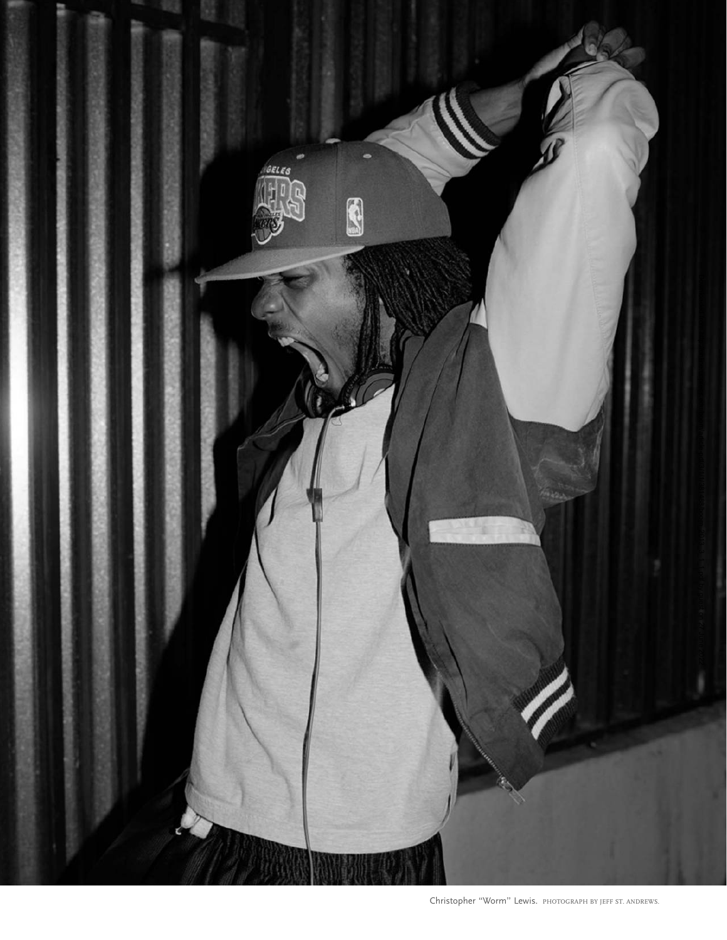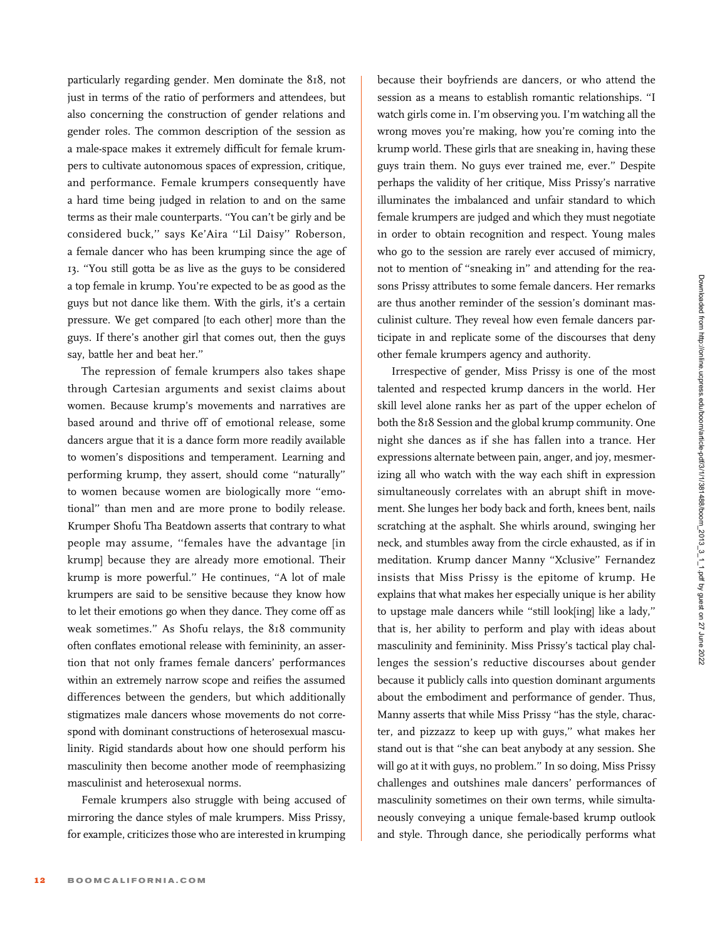particularly regarding gender. Men dominate the 818, not just in terms of the ratio of performers and attendees, but also concerning the construction of gender relations and gender roles. The common description of the session as a male-space makes it extremely difficult for female krumpers to cultivate autonomous spaces of expression, critique, and performance. Female krumpers consequently have a hard time being judged in relation to and on the same terms as their male counterparts. ''You can't be girly and be considered buck,'' says Ke'Aira ''Lil Daisy'' Roberson, a female dancer who has been krumping since the age of 13. ''You still gotta be as live as the guys to be considered a top female in krump. You're expected to be as good as the guys but not dance like them. With the girls, it's a certain pressure. We get compared [to each other] more than the guys. If there's another girl that comes out, then the guys say, battle her and beat her.''

The repression of female krumpers also takes shape through Cartesian arguments and sexist claims about women. Because krump's movements and narratives are based around and thrive off of emotional release, some dancers argue that it is a dance form more readily available to women's dispositions and temperament. Learning and performing krump, they assert, should come ''naturally'' to women because women are biologically more ''emotional'' than men and are more prone to bodily release. Krumper Shofu Tha Beatdown asserts that contrary to what people may assume, ''females have the advantage [in krump] because they are already more emotional. Their krump is more powerful.'' He continues, ''A lot of male krumpers are said to be sensitive because they know how to let their emotions go when they dance. They come off as weak sometimes.'' As Shofu relays, the 818 community often conflates emotional release with femininity, an assertion that not only frames female dancers' performances within an extremely narrow scope and reifies the assumed differences between the genders, but which additionally stigmatizes male dancers whose movements do not correspond with dominant constructions of heterosexual masculinity. Rigid standards about how one should perform his masculinity then become another mode of reemphasizing masculinist and heterosexual norms.

Female krumpers also struggle with being accused of mirroring the dance styles of male krumpers. Miss Prissy, for example, criticizes those who are interested in krumping

because their boyfriends are dancers, or who attend the session as a means to establish romantic relationships. ''I watch girls come in. I'm observing you. I'm watching all the wrong moves you're making, how you're coming into the krump world. These girls that are sneaking in, having these guys train them. No guys ever trained me, ever.'' Despite perhaps the validity of her critique, Miss Prissy's narrative illuminates the imbalanced and unfair standard to which female krumpers are judged and which they must negotiate in order to obtain recognition and respect. Young males who go to the session are rarely ever accused of mimicry, not to mention of ''sneaking in'' and attending for the reasons Prissy attributes to some female dancers. Her remarks are thus another reminder of the session's dominant masculinist culture. They reveal how even female dancers participate in and replicate some of the discourses that deny other female krumpers agency and authority.

Irrespective of gender, Miss Prissy is one of the most talented and respected krump dancers in the world. Her skill level alone ranks her as part of the upper echelon of both the 818 Session and the global krump community. One night she dances as if she has fallen into a trance. Her expressions alternate between pain, anger, and joy, mesmerizing all who watch with the way each shift in expression simultaneously correlates with an abrupt shift in movement. She lunges her body back and forth, knees bent, nails scratching at the asphalt. She whirls around, swinging her neck, and stumbles away from the circle exhausted, as if in meditation. Krump dancer Manny ''Xclusive'' Fernandez insists that Miss Prissy is the epitome of krump. He explains that what makes her especially unique is her ability to upstage male dancers while ''still look[ing] like a lady,'' that is, her ability to perform and play with ideas about masculinity and femininity. Miss Prissy's tactical play challenges the session's reductive discourses about gender because it publicly calls into question dominant arguments about the embodiment and performance of gender. Thus, Manny asserts that while Miss Prissy ''has the style, character, and pizzazz to keep up with guys,'' what makes her stand out is that ''she can beat anybody at any session. She will go at it with guys, no problem.'' In so doing, Miss Prissy challenges and outshines male dancers' performances of masculinity sometimes on their own terms, while simultaneously conveying a unique female-based krump outlook and style. Through dance, she periodically performs what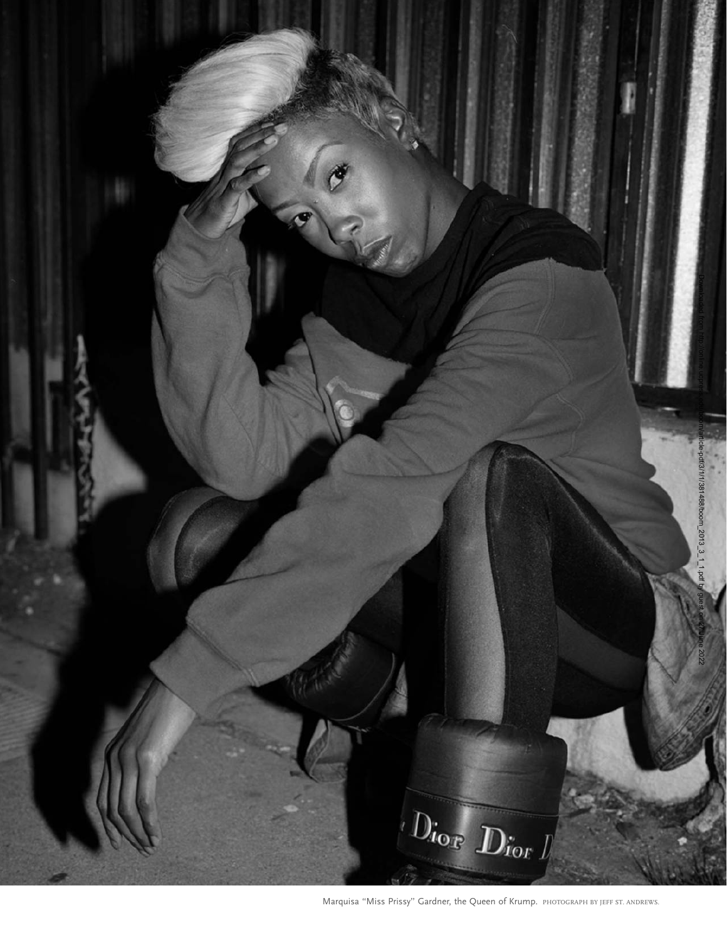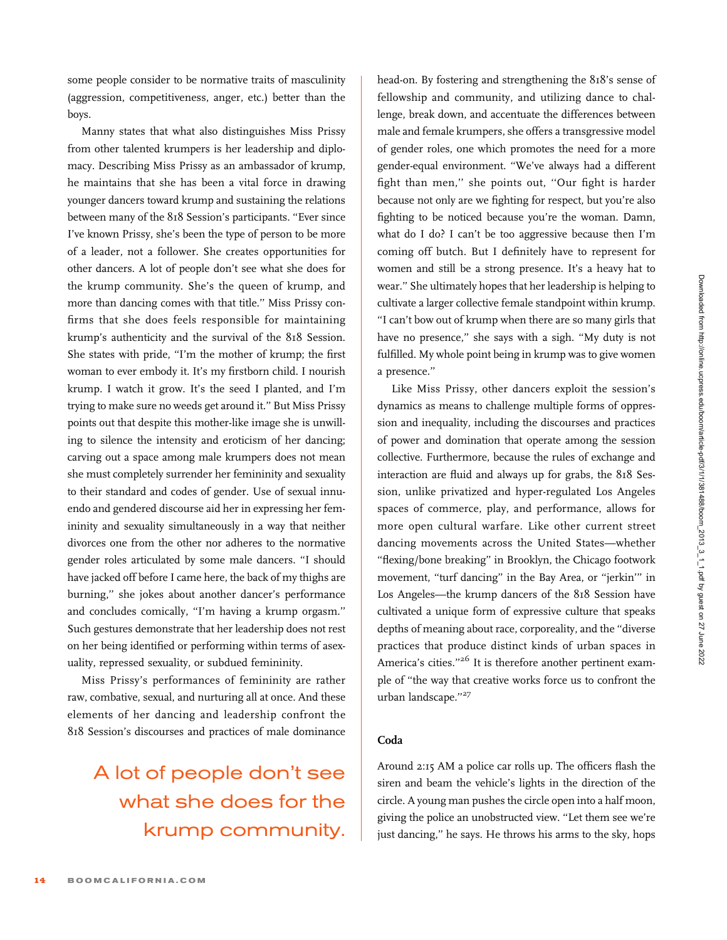some people consider to be normative traits of masculinity (aggression, competitiveness, anger, etc.) better than the boys.

Manny states that what also distinguishes Miss Prissy from other talented krumpers is her leadership and diplomacy. Describing Miss Prissy as an ambassador of krump, he maintains that she has been a vital force in drawing younger dancers toward krump and sustaining the relations between many of the 818 Session's participants. ''Ever since I've known Prissy, she's been the type of person to be more of a leader, not a follower. She creates opportunities for other dancers. A lot of people don't see what she does for the krump community. She's the queen of krump, and more than dancing comes with that title.'' Miss Prissy confirms that she does feels responsible for maintaining krump's authenticity and the survival of the 818 Session. She states with pride, "I'm the mother of krump; the first woman to ever embody it. It's my firstborn child. I nourish krump. I watch it grow. It's the seed I planted, and I'm trying to make sure no weeds get around it.'' But Miss Prissy points out that despite this mother-like image she is unwilling to silence the intensity and eroticism of her dancing; carving out a space among male krumpers does not mean she must completely surrender her femininity and sexuality to their standard and codes of gender. Use of sexual innuendo and gendered discourse aid her in expressing her femininity and sexuality simultaneously in a way that neither divorces one from the other nor adheres to the normative gender roles articulated by some male dancers. ''I should have jacked off before I came here, the back of my thighs are burning,'' she jokes about another dancer's performance and concludes comically, "I'm having a krump orgasm." Such gestures demonstrate that her leadership does not rest on her being identified or performing within terms of asexuality, repressed sexuality, or subdued femininity.

Miss Prissy's performances of femininity are rather raw, combative, sexual, and nurturing all at once. And these elements of her dancing and leadership confront the 818 Session's discourses and practices of male dominance

### A lot of people don't see what she does for the krump community.

head-on. By fostering and strengthening the 818's sense of fellowship and community, and utilizing dance to challenge, break down, and accentuate the differences between male and female krumpers, she offers a transgressive model of gender roles, one which promotes the need for a more gender-equal environment. ''We've always had a different fight than men,'' she points out, ''Our fight is harder because not only are we fighting for respect, but you're also fighting to be noticed because you're the woman. Damn, what do I do? I can't be too aggressive because then I'm coming off butch. But I definitely have to represent for women and still be a strong presence. It's a heavy hat to wear.'' She ultimately hopes that her leadership is helping to cultivate a larger collective female standpoint within krump. ''I can't bow out of krump when there are so many girls that have no presence,'' she says with a sigh. ''My duty is not fulfilled. My whole point being in krump was to give women a presence.''

Like Miss Prissy, other dancers exploit the session's dynamics as means to challenge multiple forms of oppression and inequality, including the discourses and practices of power and domination that operate among the session collective. Furthermore, because the rules of exchange and interaction are fluid and always up for grabs, the 818 Session, unlike privatized and hyper-regulated Los Angeles spaces of commerce, play, and performance, allows for more open cultural warfare. Like other current street dancing movements across the United States—whether ''flexing/bone breaking'' in Brooklyn, the Chicago footwork movement, ''turf dancing'' in the Bay Area, or ''jerkin''' in Los Angeles—the krump dancers of the 818 Session have cultivated a unique form of expressive culture that speaks depths of meaning about race, corporeality, and the ''diverse practices that produce distinct kinds of urban spaces in America's cities."<sup>26</sup> It is therefore another pertinent example of ''the way that creative works force us to confront the urban landscape."<sup>27</sup>

#### Coda

Around 2:15 AM a police car rolls up. The officers flash the siren and beam the vehicle's lights in the direction of the circle. A young man pushes the circle open into a half moon, giving the police an unobstructed view. ''Let them see we're just dancing," he says. He throws his arms to the sky, hops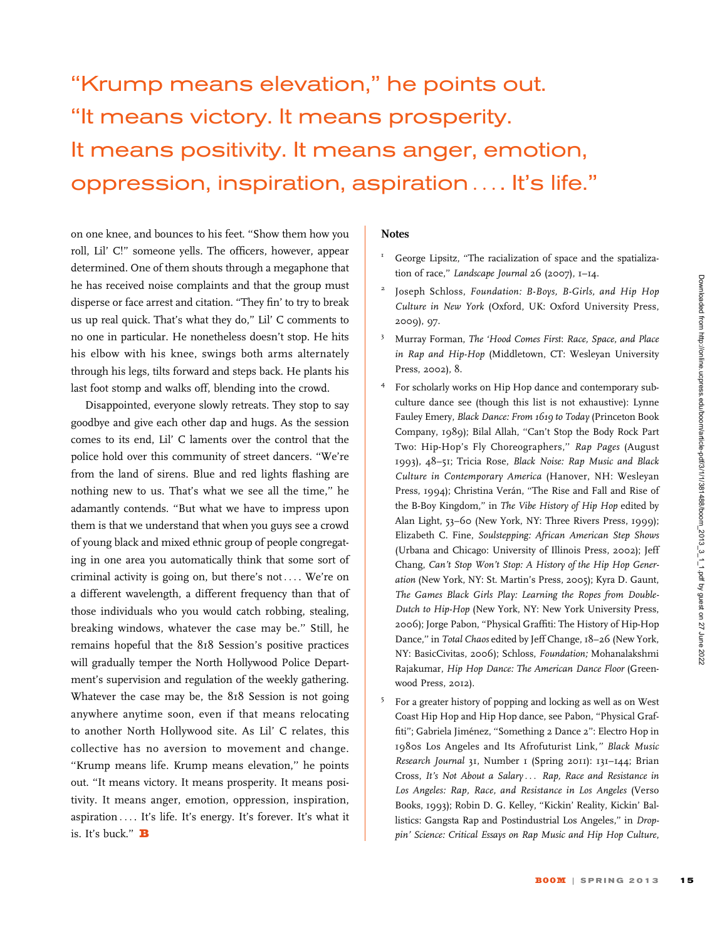## ''Krump means elevation,'' he points out. ''It means victory. It means prosperity. It means positivity. It means anger, emotion, oppression, inspiration, aspiration ... . It's life.''

on one knee, and bounces to his feet. ''Show them how you roll, Lil' C!'' someone yells. The officers, however, appear determined. One of them shouts through a megaphone that he has received noise complaints and that the group must disperse or face arrest and citation. ''They fin' to try to break us up real quick. That's what they do,'' Lil' C comments to no one in particular. He nonetheless doesn't stop. He hits his elbow with his knee, swings both arms alternately through his legs, tilts forward and steps back. He plants his last foot stomp and walks off, blending into the crowd.

Disappointed, everyone slowly retreats. They stop to say goodbye and give each other dap and hugs. As the session comes to its end, Lil' C laments over the control that the police hold over this community of street dancers. ''We're from the land of sirens. Blue and red lights flashing are nothing new to us. That's what we see all the time,'' he adamantly contends. ''But what we have to impress upon them is that we understand that when you guys see a crowd of young black and mixed ethnic group of people congregating in one area you automatically think that some sort of criminal activity is going on, but there's not ... . We're on a different wavelength, a different frequency than that of those individuals who you would catch robbing, stealing, breaking windows, whatever the case may be.'' Still, he remains hopeful that the 818 Session's positive practices will gradually temper the North Hollywood Police Department's supervision and regulation of the weekly gathering. Whatever the case may be, the 818 Session is not going anywhere anytime soon, even if that means relocating to another North Hollywood site. As Lil' C relates, this collective has no aversion to movement and change. ''Krump means life. Krump means elevation,'' he points out. ''It means victory. It means prosperity. It means positivity. It means anger, emotion, oppression, inspiration, aspiration ... . It's life. It's energy. It's forever. It's what it is. It's buck."  $\mathbf B$ 

### **Notes**

- <sup>1</sup> George Lipsitz, "The racialization of space and the spatialization of race," Landscape Journal 26 (2007), 1-14.
- Joseph Schloss, Foundation: B-Boys, B-Girls, and Hip Hop Culture in New York (Oxford, UK: Oxford University Press, 2009), 97.
- <sup>3</sup> Murray Forman, The 'Hood Comes First: Race, Space, and Place in Rap and Hip-Hop (Middletown, CT: Wesleyan University Press, 2002), 8.
- <sup>4</sup> For scholarly works on Hip Hop dance and contemporary subculture dance see (though this list is not exhaustive): Lynne Fauley Emery, Black Dance: From 1619 to Today (Princeton Book Company, 1989); Bilal Allah, "Can't Stop the Body Rock Part Two: Hip-Hop's Fly Choreographers,'' Rap Pages (August 1993), 48–51; Tricia Rose, Black Noise: Rap Music and Black Culture in Contemporary America (Hanover, NH: Wesleyan Press, 1994); Christina Verán, "The Rise and Fall and Rise of the B-Boy Kingdom,'' in The Vibe History of Hip Hop edited by Alan Light, 53–60 (New York, NY: Three Rivers Press, 1999); Elizabeth C. Fine, Soulstepping: African American Step Shows (Urbana and Chicago: University of Illinois Press, 2002); Jeff Chang, Can't Stop Won't Stop: A History of the Hip Hop Generation (New York, NY: St. Martin's Press, 2005); Kyra D. Gaunt, The Games Black Girls Play: Learning the Ropes from Double-Dutch to Hip-Hop (New York, NY: New York University Press, 2006); Jorge Pabon, ''Physical Graffiti: The History of Hip-Hop Dance," in Total Chaos edited by Jeff Change, 18-26 (New York, NY: BasicCivitas, 2006); Schloss, Foundation; Mohanalakshmi Rajakumar, Hip Hop Dance: The American Dance Floor (Greenwood Press, 2012).
- <sup>5</sup> For a greater history of popping and locking as well as on West Coast Hip Hop and Hip Hop dance, see Pabon, ''Physical Graffiti"; Gabriela Jiménez, "Something 2 Dance 2": Electro Hop in 1980s Los Angeles and Its Afrofuturist Link,'' Black Music Research Journal 31, Number 1 (Spring 2011): 131–144; Brian Cross, It's Not About a Salary ... Rap, Race and Resistance in Los Angeles: Rap, Race, and Resistance in Los Angeles (Verso Books, 1993); Robin D. G. Kelley, ''Kickin' Reality, Kickin' Ballistics: Gangsta Rap and Postindustrial Los Angeles," in Droppin' Science: Critical Essays on Rap Music and Hip Hop Culture,